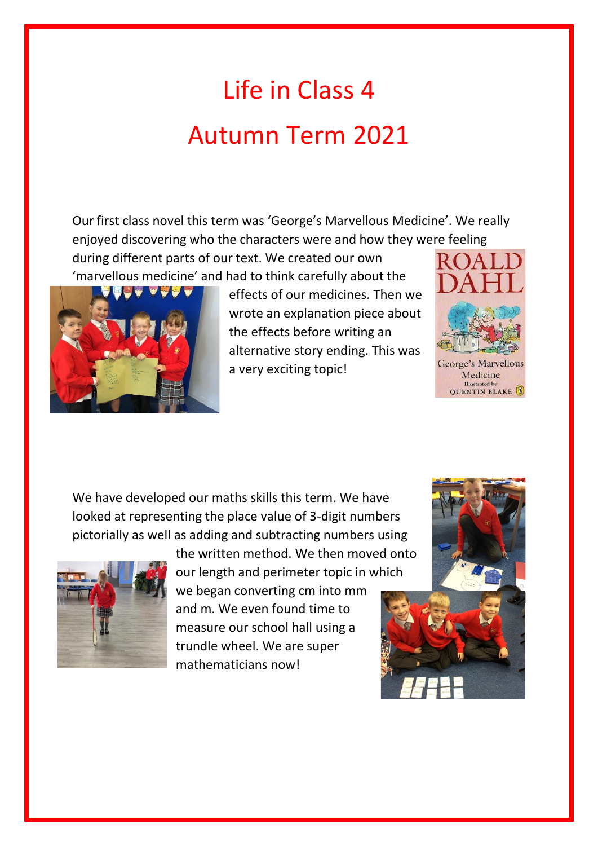## Life in Class 4 Autumn Term 2021

Our first class novel this term was 'George's Marvellous Medicine'. We really enjoyed discovering who the characters were and how they were feeling

during different parts of our text. We created our own 'marvellous medicine' and had to think carefully about the



effects of our medicines. Then we wrote an explanation piece about the effects before writing an alternative story ending. This was a very exciting topic!



George's Marvellous Medicine Illustrated by<br>QUENTIN BLAKE

We have developed our maths skills this term. We have looked at representing the place value of 3-digit numbers pictorially as well as adding and subtracting numbers using



the written method. We then moved onto our length and perimeter topic in which

we began converting cm into mm and m. We even found time to measure our school hall using a trundle wheel. We are super mathematicians now!

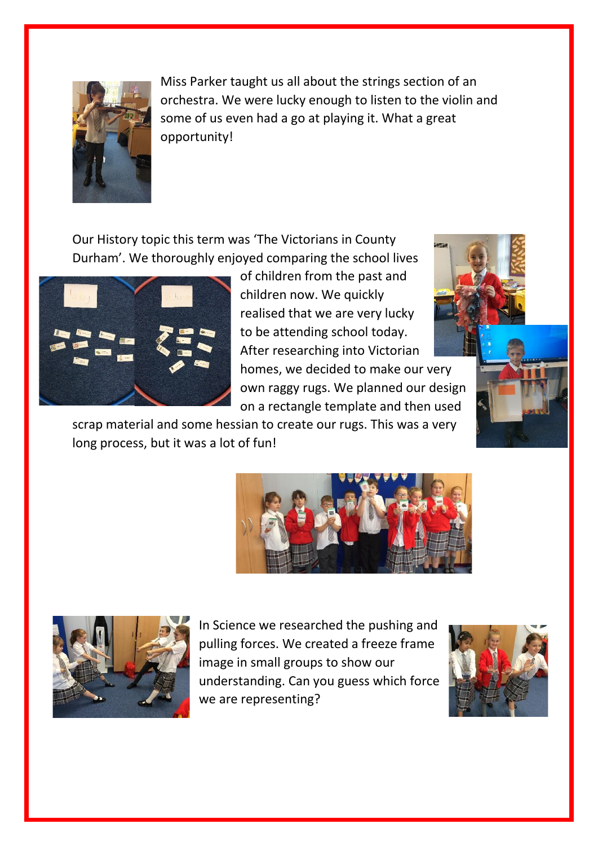

Miss Parker taught us all about the strings section of an orchestra. We were lucky enough to listen to the violin and some of us even had a go at playing it. What a great opportunity!

Our History topic this term was 'The Victorians in County Durham'. We thoroughly enjoyed comparing the school lives



of children from the past and children now. We quickly realised that we are very lucky to be attending school today. After researching into Victorian homes, we decided to make our very own raggy rugs. We planned our design on a rectangle template and then used

scrap material and some hessian to create our rugs. This was a very long process, but it was a lot of fun!







In Science we researched the pushing and pulling forces. We created a freeze frame image in small groups to show our understanding. Can you guess which force we are representing?

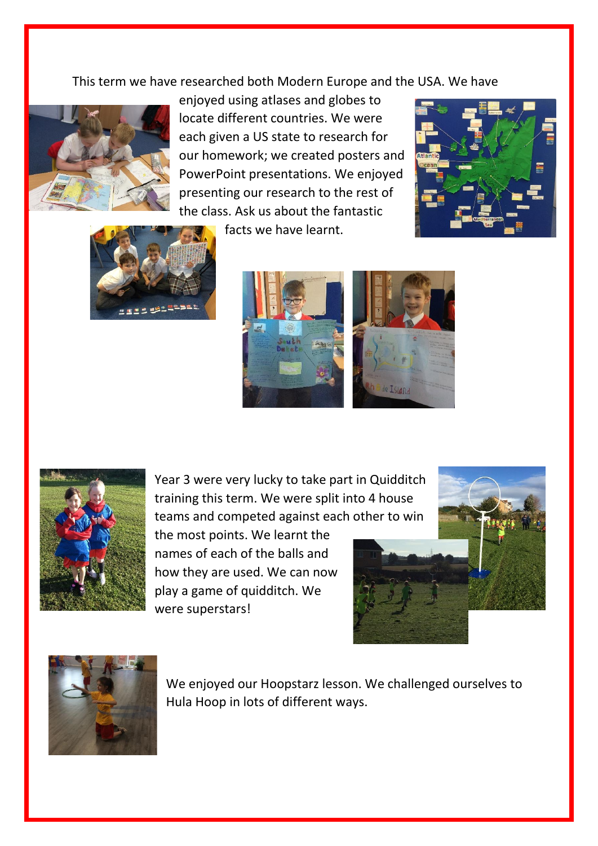This term we have researched both Modern Europe and the USA. We have



enjoyed using atlases and globes to locate different countries. We were each given a US state to research for our homework; we created posters and PowerPoint presentations. We enjoyed presenting our research to the rest of the class. Ask us about the fantastic





facts we have learnt.





Year 3 were very lucky to take part in Quidditch training this term. We were split into 4 house teams and competed against each other to win

the most points. We learnt the names of each of the balls and how they are used. We can now play a game of quidditch. We were superstars!





We enjoyed our Hoopstarz lesson. We challenged ourselves to Hula Hoop in lots of different ways.